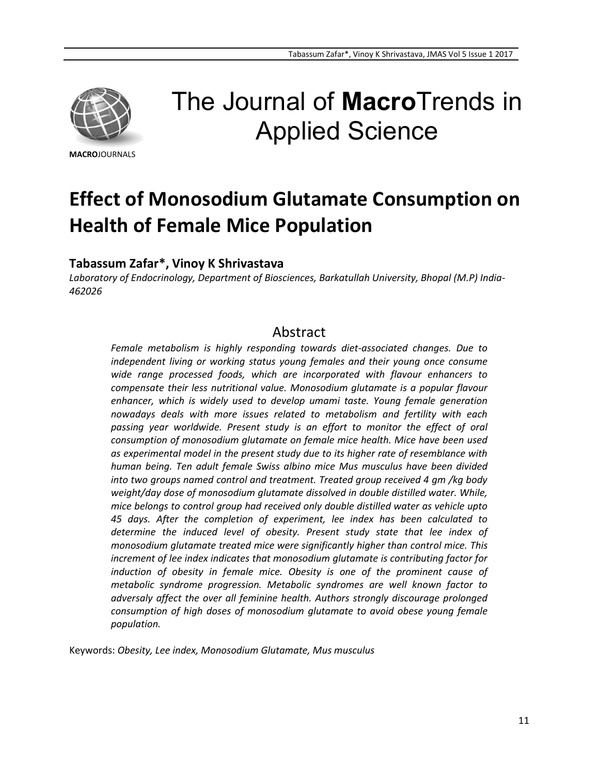

# The Journal of **Macro**Trends in Applied Science

**MACRO**JOURNALS

# **Effect of Monosodium Glutamate Consumption on Health of Female Mice Population**

### **Tabassum Zafar\*, Vinoy K Shrivastava**

*Laboratory of Endocrinology, Department of Biosciences, Barkatullah University, Bhopal (M.P) India-462026*

## Abstract

*Female metabolism is highly responding towards diet-associated changes. Due to independent living or working status young females and their young once consume wide range processed foods, which are incorporated with flavour enhancers to compensate their less nutritional value. Monosodium glutamate is a popular flavour enhancer, which is widely used to develop umami taste. Young female generation nowadays deals with more issues related to metabolism and fertility with each passing year worldwide. Present study is an effort to monitor the effect of oral consumption of monosodium glutamate on female mice health. Mice have been used as experimental model in the present study due to its higher rate of resemblance with human being. Ten adult female Swiss albino mice Mus musculus have been divided into two groups named control and treatment. Treated group received 4 gm /kg body weight/day dose of monosodium glutamate dissolved in double distilled water. While, mice belongs to control group had received only double distilled water as vehicle upto 45 days. After the completion of experiment, lee index has been calculated to determine the induced level of obesity. Present study state that lee index of monosodium glutamate treated mice were significantly higher than control mice. This increment of lee index indicates that monosodium glutamate is contributing factor for induction of obesity in female mice. Obesity is one of the prominent cause of metabolic syndrome progression. Metabolic syndromes are well known factor to adversaly affect the over all feminine health. Authors strongly discourage prolonged consumption of high doses of monosodium glutamate to avoid obese young female population.*

Keywords: *Obesity, Lee index, Monosodium Glutamate, Mus musculus*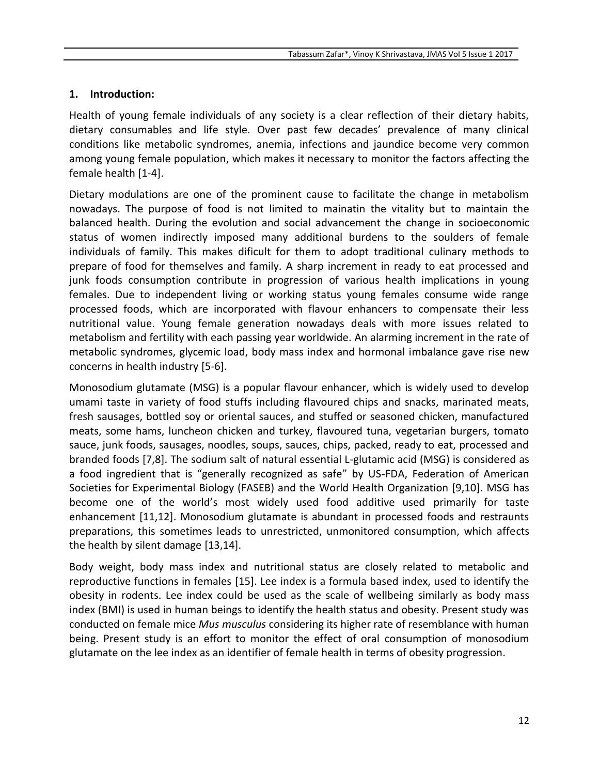#### **1. Introduction:**

Health of young female individuals of any society is a clear reflection of their dietary habits, dietary consumables and life style. Over past few decades' prevalence of many clinical conditions like metabolic syndromes, anemia, infections and jaundice become very common among young female population, which makes it necessary to monitor the factors affecting the female health [1-4].

Dietary modulations are one of the prominent cause to facilitate the change in metabolism nowadays. The purpose of food is not limited to mainatin the vitality but to maintain the balanced health. During the evolution and social advancement the change in socioeconomic status of women indirectly imposed many additional burdens to the soulders of female individuals of family. This makes dificult for them to adopt traditional culinary methods to prepare of food for themselves and family. A sharp increment in ready to eat processed and junk foods consumption contribute in progression of various health implications in young females. Due to independent living or working status young females consume wide range processed foods, which are incorporated with flavour enhancers to compensate their less nutritional value. Young female generation nowadays deals with more issues related to metabolism and fertility with each passing year worldwide. An alarming increment in the rate of metabolic syndromes, glycemic load, body mass index and hormonal imbalance gave rise new concerns in health industry [5-6].

Monosodium glutamate (MSG) is a popular flavour enhancer, which is widely used to develop umami taste in variety of food stuffs including flavoured chips and snacks, marinated meats, fresh sausages, bottled soy or oriental sauces, and stuffed or seasoned chicken, manufactured meats, some hams, luncheon chicken and turkey, flavoured tuna, vegetarian burgers, tomato sauce, junk foods, sausages, noodles, soups, sauces, chips, packed, ready to eat, processed and branded foods [7,8]. The sodium salt of natural essential L-glutamic acid (MSG) is considered as a food ingredient that is "generally recognized as safe" by US-FDA, Federation of American Societies for Experimental Biology (FASEB) and the World Health Organization [9,10]. MSG has become one of the world's most widely used food additive used primarily for taste enhancement [11,12]. Monosodium glutamate is abundant in processed foods and restraunts preparations, this sometimes leads to unrestricted, unmonitored consumption, which affects the health by silent damage [13,14].

Body weight, body mass index and nutritional status are closely related to metabolic and reproductive functions in females [15]. Lee index is a formula based index, used to identify the obesity in rodents. Lee index could be used as the scale of wellbeing similarly as body mass index (BMI) is used in human beings to identify the health status and obesity. Present study was conducted on female mice *Mus musculus* considering its higher rate of resemblance with human being. Present study is an effort to monitor the effect of oral consumption of monosodium glutamate on the lee index as an identifier of female health in terms of obesity progression.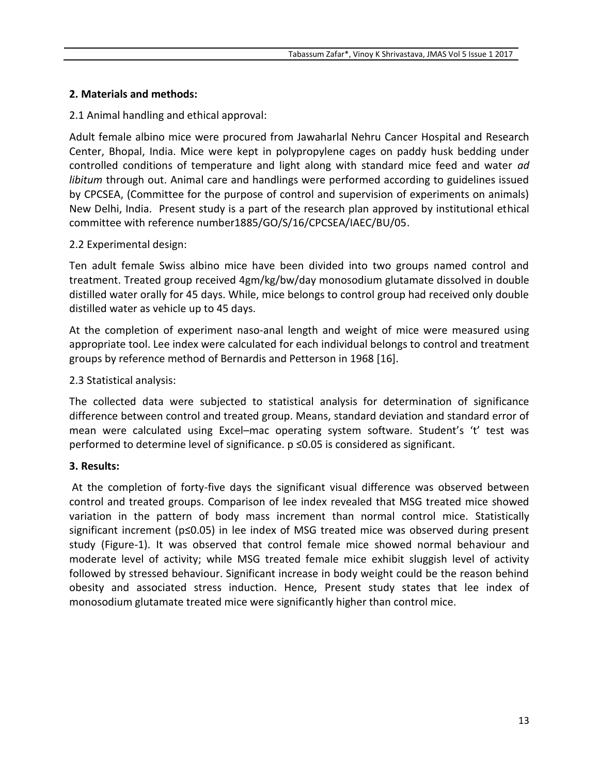#### **2. Materials and methods:**

2.1 Animal handling and ethical approval:

Adult female albino mice were procured from Jawaharlal Nehru Cancer Hospital and Research Center, Bhopal, India. Mice were kept in polypropylene cages on paddy husk bedding under controlled conditions of temperature and light along with standard mice feed and water *ad libitum* through out. Animal care and handlings were performed according to guidelines issued by CPCSEA, (Committee for the purpose of control and supervision of experiments on animals) New Delhi, India. Present study is a part of the research plan approved by institutional ethical committee with reference number1885/GO/S/16/CPCSEA/IAEC/BU/05.

#### 2.2 Experimental design:

Ten adult female Swiss albino mice have been divided into two groups named control and treatment. Treated group received 4gm/kg/bw/day monosodium glutamate dissolved in double distilled water orally for 45 days. While, mice belongs to control group had received only double distilled water as vehicle up to 45 days.

At the completion of experiment naso-anal length and weight of mice were measured using appropriate tool. Lee index were calculated for each individual belongs to control and treatment groups by reference method of Bernardis and Petterson in 1968 [16].

#### 2.3 Statistical analysis:

The collected data were subjected to statistical analysis for determination of significance difference between control and treated group. Means, standard deviation and standard error of mean were calculated using Excel–mac operating system software. Student's 't' test was performed to determine level of significance. p ≤0.05 is considered as significant.

#### **3. Results:**

At the completion of forty-five days the significant visual difference was observed between control and treated groups. Comparison of lee index revealed that MSG treated mice showed variation in the pattern of body mass increment than normal control mice. Statistically significant increment (p≤0.05) in lee index of MSG treated mice was observed during present study (Figure-1). It was observed that control female mice showed normal behaviour and moderate level of activity; while MSG treated female mice exhibit sluggish level of activity followed by stressed behaviour. Significant increase in body weight could be the reason behind obesity and associated stress induction. Hence, Present study states that lee index of monosodium glutamate treated mice were significantly higher than control mice.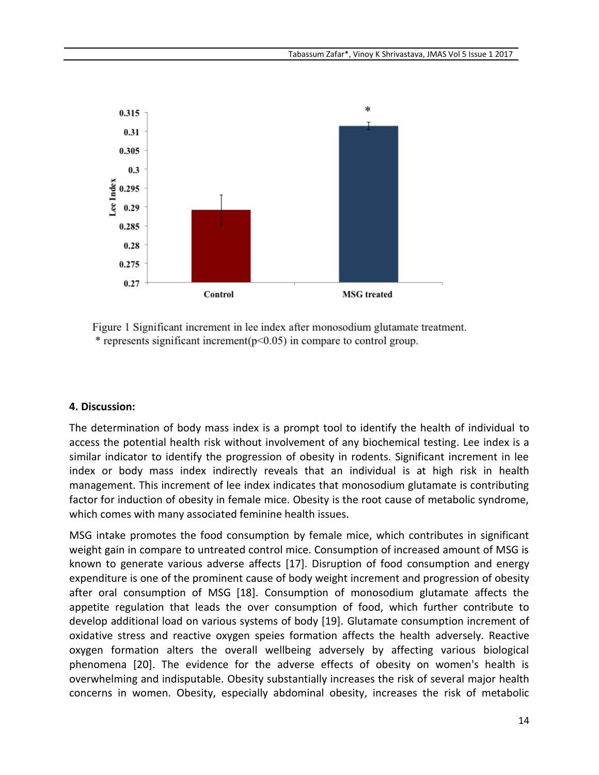

Figure 1 Significant increment in lee index after monosodium glutamate treatment. \* represents significant increment( $p<0.05$ ) in compare to control group.

#### **4. Discussion:**

The determination of body mass index is a prompt tool to identify the health of individual to access the potential health risk without involvement of any biochemical testing. Lee index is a similar indicator to identify the progression of obesity in rodents. Significant increment in lee index or body mass index indirectly reveals that an individual is at high risk in health management. This increment of lee index indicates that monosodium glutamate is contributing factor for induction of obesity in female mice. Obesity is the root cause of metabolic syndrome, which comes with many associated feminine health issues.

MSG intake promotes the food consumption by female mice, which contributes in significant weight gain in compare to untreated control mice. Consumption of increased amount of MSG is known to generate various adverse affects [17]. Disruption of food consumption and energy expenditure is one of the prominent cause of body weight increment and progression of obesity after oral consumption of MSG [18]. Consumption of monosodium glutamate affects the appetite regulation that leads the over consumption of food, which further contribute to develop additional load on various systems of body [19]. Glutamate consumption increment of oxidative stress and reactive oxygen speies formation affects the health adversely. Reactive oxygen formation alters the overall wellbeing adversely by affecting various biological phenomena [20]. The evidence for the adverse effects of obesity on women's health is overwhelming and indisputable. Obesity substantially increases the risk of several major health concerns in women. Obesity, especially abdominal obesity, increases the risk of metabolic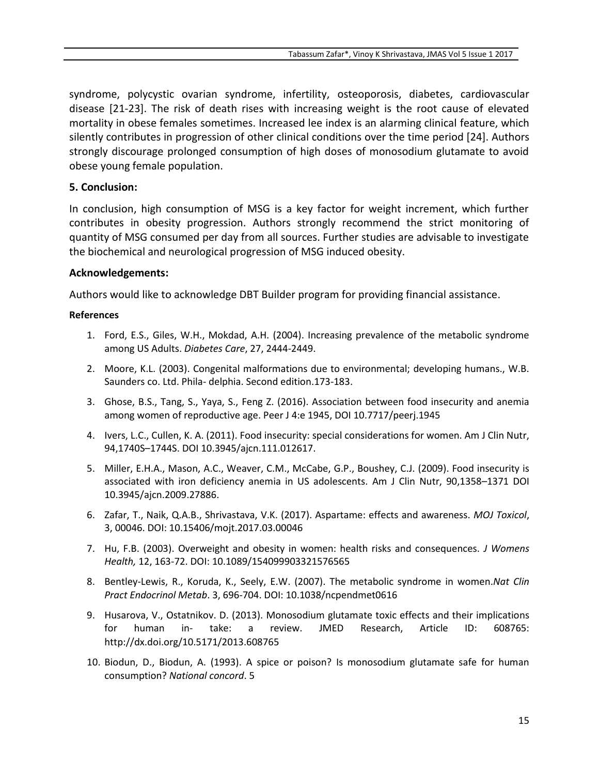syndrome, polycystic ovarian syndrome, infertility, osteoporosis, diabetes, cardiovascular disease [21-23]. The risk of death rises with increasing weight is the root cause of elevated mortality in obese females sometimes. Increased lee index is an alarming clinical feature, which silently contributes in progression of other clinical conditions over the time period [24]. Authors strongly discourage prolonged consumption of high doses of monosodium glutamate to avoid obese young female population.

#### **5. Conclusion:**

In conclusion, high consumption of MSG is a key factor for weight increment, which further contributes in obesity progression. Authors strongly recommend the strict monitoring of quantity of MSG consumed per day from all sources. Further studies are advisable to investigate the biochemical and neurological progression of MSG induced obesity.

#### **Acknowledgements:**

Authors would like to acknowledge DBT Builder program for providing financial assistance.

#### **References**

- 1. Ford, E.S., Giles, W.H., Mokdad, A.H. (2004). Increasing prevalence of the metabolic syndrome among US Adults. *Diabetes Care*, 27, 2444-2449.
- 2. Moore, K.L. (2003). Congenital malformations due to environmental; developing humans., W.B. Saunders co. Ltd. Phila- delphia. Second edition.173-183.
- 3. Ghose, B.S., Tang, S., Yaya, S., Feng Z. (2016). Association between food insecurity and anemia among women of reproductive age. Peer J 4:e 1945, DOI 10.7717/peerj.1945
- 4. Ivers, L.C., Cullen, K. A. (2011). Food insecurity: special considerations for women. Am J Clin Nutr, 94,1740S–1744S. DOI 10.3945/ajcn.111.012617.
- 5. Miller, E.H.A., Mason, A.C., Weaver, C.M., McCabe, G.P., Boushey, C.J. (2009). Food insecurity is associated with iron deficiency anemia in US adolescents. Am J Clin Nutr, 90,1358–1371 DOI 10.3945/ajcn.2009.27886.
- 6. Zafar, T., Naik, Q.A.B., Shrivastava, V.K. (2017). Aspartame: effects and awareness. *MOJ Toxicol*, 3, 00046. DOI: 10.15406/mojt.2017.03.00046
- 7. Hu, F.B. (2003). Overweight and obesity in women: health risks and consequences. *J Womens Health,* 12, 163-72. DOI: 10.1089/154099903321576565
- 8. Bentley-Lewis, R., Koruda, K., Seely, E.W. (2007). The metabolic syndrome in women.*Nat Clin Pract Endocrinol Metab*. 3, 696-704. DOI: 10.1038/ncpendmet0616
- 9. Husarova, V., Ostatnikov. D. (2013). Monosodium glutamate toxic effects and their implications for human in- take: a review. JMED Research, Article ID: 608765: http://dx.doi.org/10.5171/2013.608765
- 10. Biodun, D., Biodun, A. (1993). A spice or poison? Is monosodium glutamate safe for human consumption? *National concord*. 5